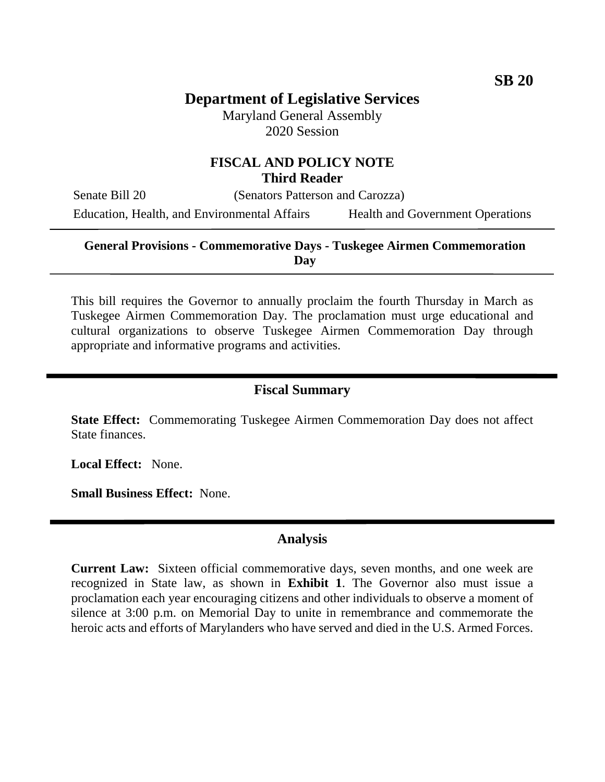# **Department of Legislative Services**

Maryland General Assembly 2020 Session

# **FISCAL AND POLICY NOTE Third Reader**

Senate Bill 20 (Senators Patterson and Carozza)

Education, Health, and Environmental Affairs Health and Government Operations

#### **General Provisions - Commemorative Days - Tuskegee Airmen Commemoration Day**

This bill requires the Governor to annually proclaim the fourth Thursday in March as Tuskegee Airmen Commemoration Day. The proclamation must urge educational and cultural organizations to observe Tuskegee Airmen Commemoration Day through appropriate and informative programs and activities.

#### **Fiscal Summary**

**State Effect:** Commemorating Tuskegee Airmen Commemoration Day does not affect State finances.

**Local Effect:** None.

**Small Business Effect:** None.

## **Analysis**

**Current Law:** Sixteen official commemorative days, seven months, and one week are recognized in State law, as shown in **Exhibit 1**. The Governor also must issue a proclamation each year encouraging citizens and other individuals to observe a moment of silence at 3:00 p.m. on Memorial Day to unite in remembrance and commemorate the heroic acts and efforts of Marylanders who have served and died in the U.S. Armed Forces.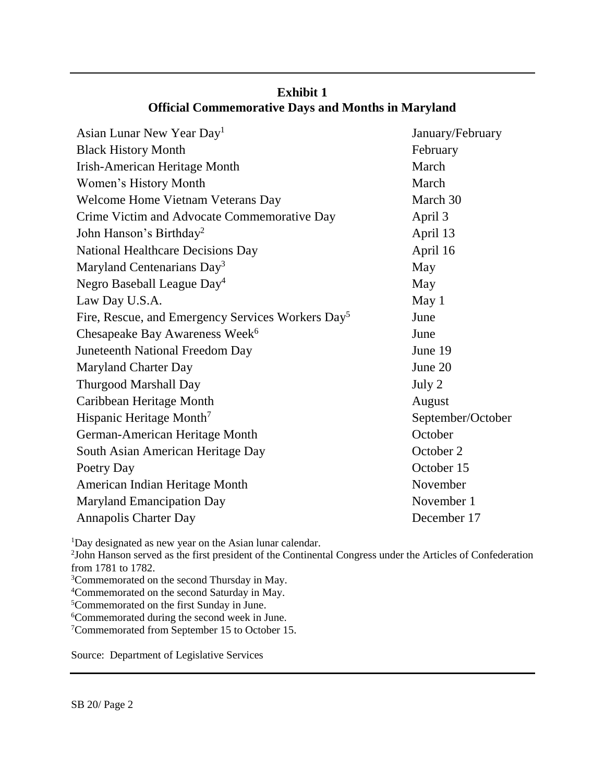| Asian Lunar New Year Day <sup>1</sup>                         | January/February  |
|---------------------------------------------------------------|-------------------|
| <b>Black History Month</b>                                    | February          |
| <b>Irish-American Heritage Month</b>                          | March             |
| Women's History Month                                         | March             |
| Welcome Home Vietnam Veterans Day                             | March 30          |
| Crime Victim and Advocate Commemorative Day                   | April 3           |
| John Hanson's Birthday <sup>2</sup>                           | April 13          |
| <b>National Healthcare Decisions Day</b>                      | April 16          |
| Maryland Centenarians Day <sup>3</sup>                        | May               |
| Negro Baseball League Day <sup>4</sup>                        | May               |
| Law Day U.S.A.                                                | May <sub>1</sub>  |
| Fire, Rescue, and Emergency Services Workers Day <sup>5</sup> | June              |
| Chesapeake Bay Awareness Week <sup>6</sup>                    | June              |
| Juneteenth National Freedom Day                               | June 19           |
| <b>Maryland Charter Day</b>                                   | June 20           |
| <b>Thurgood Marshall Day</b>                                  | July 2            |
| Caribbean Heritage Month                                      | August            |
| Hispanic Heritage Month <sup>7</sup>                          | September/October |
| German-American Heritage Month                                | October           |
| South Asian American Heritage Day                             | October 2         |
| Poetry Day                                                    | October 15        |
| American Indian Heritage Month                                | November          |
| <b>Maryland Emancipation Day</b>                              | November 1        |
| <b>Annapolis Charter Day</b>                                  | December 17       |
|                                                               |                   |

# **Exhibit 1 Official Commemorative Days and Months in Maryland**

<sup>1</sup>Day designated as new year on the Asian lunar calendar.

2 John Hanson served as the first president of the Continental Congress under the Articles of Confederation from 1781 to 1782.

- <sup>3</sup>Commemorated on the second Thursday in May.
- <sup>4</sup>Commemorated on the second Saturday in May.

<sup>5</sup>Commemorated on the first Sunday in June.

<sup>6</sup>Commemorated during the second week in June.

<sup>7</sup>Commemorated from September 15 to October 15.

Source: Department of Legislative Services